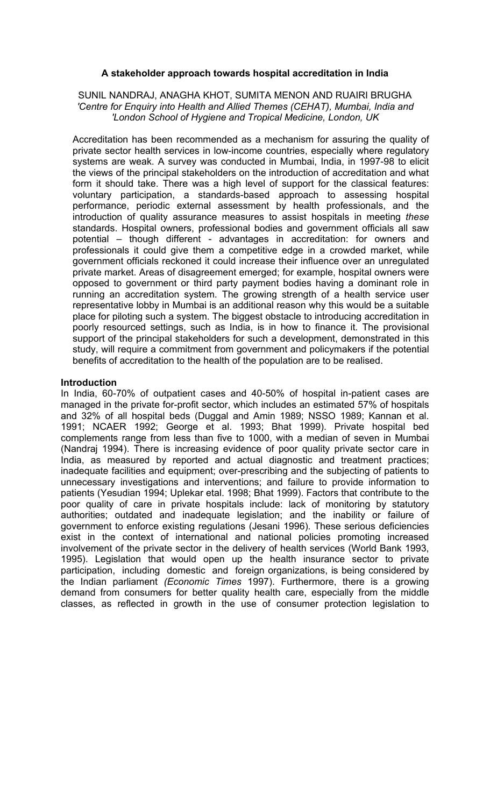## **A stakeholder approach towards hospital accreditation in India**

## SUNIL NANDRAJ, ANAGHA KHOT, SUMITA MENON AND RUAIRI BRUGHA *'Centre for Enquiry into Health and Allied Themes (CEHAT), Mumbai, India and 'London School of Hygiene and Tropical Medicine, London, UK*

Accreditation has been recommended as a mechanism for assuring the quality of private sector health services in low-income countries, especially where regulatory systems are weak. A survey was conducted in Mumbai, India, in 1997-98 to elicit the views of the principal stakeholders on the introduction of accreditation and what form it should take. There was a high level of support for the classical features: voluntary participation, a standards-based approach to assessing hospital performance, periodic external assessment by health professionals, and the introduction of quality assurance measures to assist hospitals in meeting *these* standards. Hospital owners, professional bodies and government officials all saw potential – though different - advantages in accreditation: for owners and professionals it could give them a competitive edge in a crowded market, while government officials reckoned it could increase their influence over an unregulated private market. Areas of disagreement emerged; for example, hospital owners were opposed to government or third party payment bodies having a dominant role in running an accreditation system. The growing strength of a health service user representative lobby in Mumbai is an additional reason why this would be a suitable place for piloting such a system. The biggest obstacle to introducing accreditation in poorly resourced settings, such as India, is in how to finance it. The provisional support of the principal stakeholders for such a development, demonstrated in this study, will require a commitment from government and policymakers if the potential benefits of accreditation to the health of the population are to be realised.

## **Introduction**

In India, 60-70% of outpatient cases and 40-50% of hospital in-patient cases are managed in the private for-profit sector, which includes an estimated 57% of hospitals and 32% of all hospital beds (Duggal and Amin 1989; NSSO 1989; Kannan et al. 1991; NCAER 1992; George et al. 1993; Bhat 1999). Private hospital bed complements range from less than five to 1000, with a median of seven in Mumbai (Nandraj 1994). There is increasing evidence of poor quality private sector care in India, as measured by reported and actual diagnostic and treatment practices; inadequate facilities and equipment; over-prescribing and the subjecting of patients to unnecessary investigations and interventions; and failure to provide information to patients (Yesudian 1994; Uplekar etal. 1998; Bhat 1999). Factors that contribute to the poor quality of care in private hospitals include: lack of monitoring by statutory authorities; outdated and inadequate legislation; and the inability or failure of government to enforce existing regulations (Jesani 1996). These serious deficiencies exist in the context of international and national policies promoting increased involvement of the private sector in the delivery of health services (World Bank 1993, 1995). Legislation that would open up the health insurance sector to private participation, including domestic and foreign organizations, is being considered by the Indian parliament *(Economic Times* 1997). Furthermore, there is a growing demand from consumers for better quality health care, especially from the middle classes, as reflected in growth in the use of consumer protection legislation to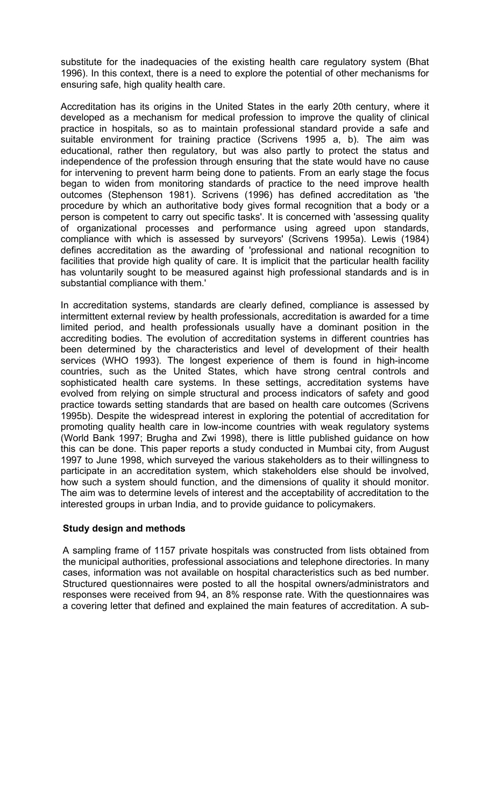substitute for the inadequacies of the existing health care regulatory system (Bhat 1996). In this context, there is a need to explore the potential of other mechanisms for ensuring safe, high quality health care.

Accreditation has its origins in the United States in the early 20th century, where it developed as a mechanism for medical profession to improve the quality of clinical practice in hospitals, so as to maintain professional standard provide a safe and suitable environment for training practice (Scrivens 1995 a, b). The aim was educational, rather then regulatory, but was also partly to protect the status and independence of the profession through ensuring that the state would have no cause for intervening to prevent harm being done to patients. From an early stage the focus began to widen from monitoring standards of practice to the need improve health outcomes (Stephenson 1981). Scrivens (1996) has defined accreditation as 'the procedure by which an authoritative body gives formal recognition that a body or a person is competent to carry out specific tasks'. It is concerned with 'assessing quality of organizational processes and performance using agreed upon standards, compliance with which is assessed by surveyors' (Scrivens 1995a). Lewis (1984) defines accreditation as the awarding of 'professional and national recognition to facilities that provide high quality of care. It is implicit that the particular health facility has voluntarily sought to be measured against high professional standards and is in substantial compliance with them.'

In accreditation systems, standards are clearly defined, compliance is assessed by intermittent external review by health professionals, accreditation is awarded for a time limited period, and health professionals usually have a dominant position in the accrediting bodies. The evolution of accreditation systems in different countries has been determined by the characteristics and level of development of their health services (WHO 1993). The longest experience of them is found in high-income countries, such as the United States, which have strong central controls and sophisticated health care systems. In these settings, accreditation systems have evolved from relying on simple structural and process indicators of safety and good practice towards setting standards that are based on health care outcomes (Scrivens 1995b). Despite the widespread interest in exploring the potential of accreditation for promoting quality health care in low-income countries with weak regulatory systems (World Bank 1997; Brugha and Zwi 1998), there is little published guidance on how this can be done. This paper reports a study conducted in Mumbai city, from August 1997 to June 1998, which surveyed the various stakeholders as to their willingness to participate in an accreditation system, which stakeholders else should be involved, how such a system should function, and the dimensions of quality it should monitor. The aim was to determine levels of interest and the acceptability of accreditation to the interested groups in urban India, and to provide guidance to policymakers.

## **Study design and methods**

A sampling frame of 1157 private hospitals was constructed from lists obtained from the municipal authorities, professional associations and telephone directories. In many cases, information was not available on hospital characteristics such as bed number. Structured questionnaires were posted to all the hospital owners/administrators and responses were received from 94, an 8% response rate. With the questionnaires was a covering letter that defined and explained the main features of accreditation. A sub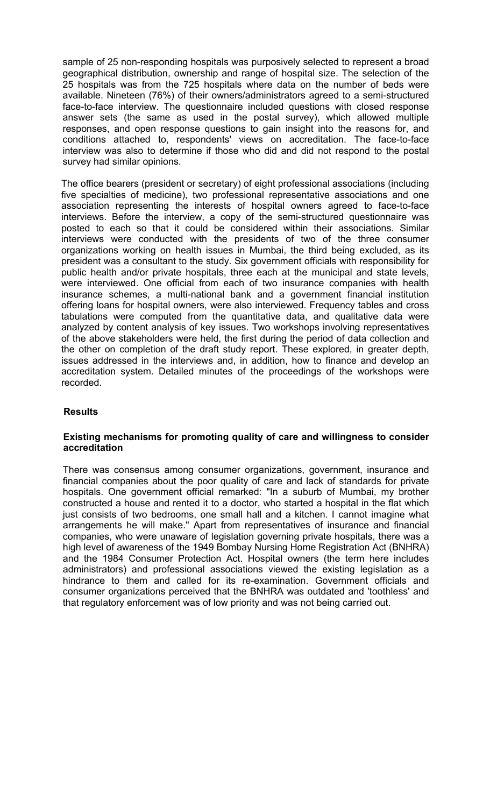sample of 25 non-responding hospitals was purposively selected to represent a broad geographical distribution, ownership and range of hospital size. The selection of the 25 hospitals was from the 725 hospitals where data on the number of beds were available. Nineteen (76%) of their owners/administrators agreed to a semi-structured face-to-face interview. The questionnaire included questions with closed response answer sets (the same as used in the postal survey), which allowed multiple responses, and open response questions to gain insight into the reasons for, and conditions attached to, respondents' views on accreditation. The face-to-face interview was also to determine if those who did and did not respond to the postal survey had similar opinions.

The office bearers (president or secretary) of eight professional associations (including five specialties of medicine), two professional representative associations and one association representing the interests of hospital owners agreed to face-to-face interviews. Before the interview, a copy of the semi-structured questionnaire was posted to each so that it could be considered within their associations. Similar interviews were conducted with the presidents of two of the three consumer organizations working on health issues in Mumbai, the third being excluded, as its president was a consultant to the study. Six government officials with responsibility for public health and/or private hospitals, three each at the municipal and state levels, were interviewed. One official from each of two insurance companies with health insurance schemes, a multi-national bank and a government financial institution offering loans for hospital owners, were also interviewed. Frequency tables and cross tabulations were computed from the quantitative data, and qualitative data were analyzed by content analysis of key issues. Two workshops involving representatives of the above stakeholders were held, the first during the period of data collection and the other on completion of the draft study report. These explored, in greater depth, issues addressed in the interviews and, in addition, how to finance and develop an accreditation system. Detailed minutes of the proceedings of the workshops were recorded.

# **Results**

## **Existing mechanisms for promoting quality of care and willingness to consider accreditation**

There was consensus among consumer organizations, government, insurance and financial companies about the poor quality of care and lack of standards for private hospitals. One government official remarked: "In a suburb of Mumbai, my brother constructed a house and rented it to a doctor, who started a hospital in the flat which just consists of two bedrooms, one small hall and a kitchen. I cannot imagine what arrangements he will make." Apart from representatives of insurance and financial companies, who were unaware of legislation governing private hospitals, there was a high level of awareness of the 1949 Bombay Nursing Home Registration Act (BNHRA) and the 1984 Consumer Protection Act. Hospital owners (the term here includes administrators) and professional associations viewed the existing legislation as a hindrance to them and called for its re-examination. Government officials and consumer organizations perceived that the BNHRA was outdated and 'toothless' and that regulatory enforcement was of low priority and was not being carried out.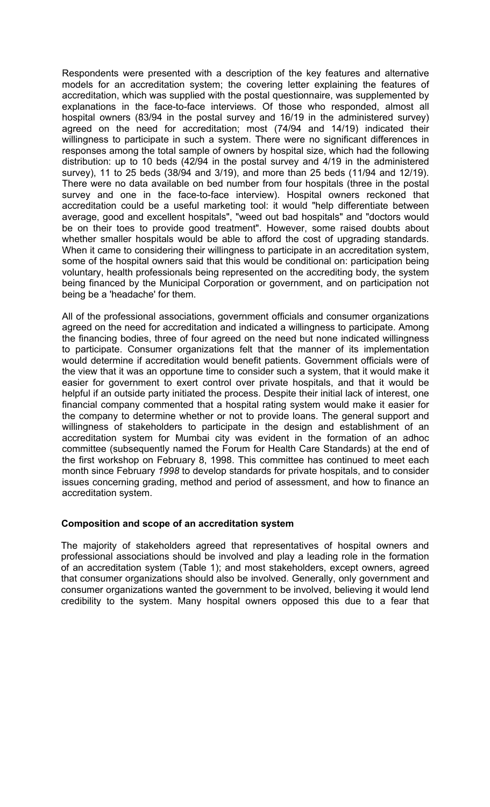Respondents were presented with a description of the key features and alternative models for an accreditation system; the covering letter explaining the features of accreditation, which was supplied with the postal questionnaire, was supplemented by explanations in the face-to-face interviews. Of those who responded, almost all hospital owners (83/94 in the postal survey and 16/19 in the administered survey) agreed on the need for accreditation; most (74/94 and 14/19) indicated their willingness to participate in such a system. There were no significant differences in responses among the total sample of owners by hospital size, which had the following distribution: up to 10 beds (42/94 in the postal survey and 4/19 in the administered survey), 11 to 25 beds (38/94 and 3/19), and more than 25 beds (11/94 and 12/19). There were no data available on bed number from four hospitals (three in the postal survey and one in the face-to-face interview). Hospital owners reckoned that accreditation could be a useful marketing tool: it would "help differentiate between average, good and excellent hospitals", "weed out bad hospitals" and "doctors would be on their toes to provide good treatment". However, some raised doubts about whether smaller hospitals would be able to afford the cost of upgrading standards. When it came to considering their willingness to participate in an accreditation system, some of the hospital owners said that this would be conditional on: participation being voluntary, health professionals being represented on the accrediting body, the system being financed by the Municipal Corporation or government, and on participation not being be a 'headache' for them.

All of the professional associations, government officials and consumer organizations agreed on the need for accreditation and indicated a willingness to participate. Among the financing bodies, three of four agreed on the need but none indicated willingness to participate. Consumer organizations felt that the manner of its implementation would determine if accreditation would benefit patients. Government officials were of the view that it was an opportune time to consider such a system, that it would make it easier for government to exert control over private hospitals, and that it would be helpful if an outside party initiated the process. Despite their initial lack of interest, one financial company commented that a hospital rating system would make it easier for the company to determine whether or not to provide loans. The general support and willingness of stakeholders to participate in the design and establishment of an accreditation system for Mumbai city was evident in the formation of an adhoc committee (subsequently named the Forum for Health Care Standards) at the end of the first workshop on February 8, 1998. This committee has continued to meet each month since February *1998* to develop standards for private hospitals, and to consider issues concerning grading, method and period of assessment, and how to finance an accreditation system.

# **Composition and scope of an accreditation system**

The majority of stakeholders agreed that representatives of hospital owners and professional associations should be involved and play a leading role in the formation of an accreditation system (Table 1); and most stakeholders, except owners, agreed that consumer organizations should also be involved. Generally, only government and consumer organizations wanted the government to be involved, believing it would lend credibility to the system. Many hospital owners opposed this due to a fear that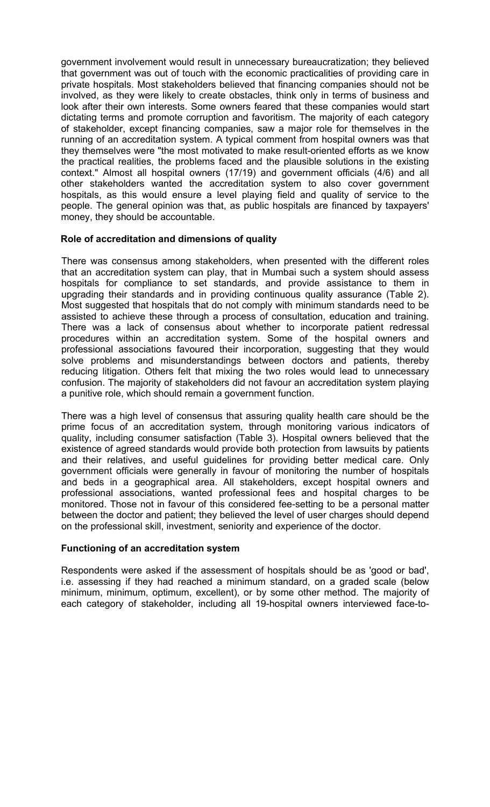government involvement would result in unnecessary bureaucratization; they believed that government was out of touch with the economic practicalities of providing care in private hospitals. Most stakeholders believed that financing companies should not be involved, as they were likely to create obstacles, think only in terms of business and look after their own interests. Some owners feared that these companies would start dictating terms and promote corruption and favoritism. The majority of each category of stakeholder, except financing companies, saw a major role for themselves in the running of an accreditation system. A typical comment from hospital owners was that they themselves were "the most motivated to make result-oriented efforts as we know the practical realities, the problems faced and the plausible solutions in the existing context." Almost all hospital owners (17/19) and government officials (4/6) and all other stakeholders wanted the accreditation system to also cover government hospitals, as this would ensure a level playing field and quality of service to the people. The general opinion was that, as public hospitals are financed by taxpayers' money, they should be accountable.

# **Role of accreditation and dimensions of quality**

There was consensus among stakeholders, when presented with the different roles that an accreditation system can play, that in Mumbai such a system should assess hospitals for compliance to set standards, and provide assistance to them in upgrading their standards and in providing continuous quality assurance (Table 2). Most suggested that hospitals that do not comply with minimum standards need to be assisted to achieve these through a process of consultation, education and training. There was a lack of consensus about whether to incorporate patient redressal procedures within an accreditation system. Some of the hospital owners and professional associations favoured their incorporation, suggesting that they would solve problems and misunderstandings between doctors and patients, thereby reducing litigation. Others felt that mixing the two roles would lead to unnecessary confusion. The majority of stakeholders did not favour an accreditation system playing a punitive role, which should remain a government function.

There was a high level of consensus that assuring quality health care should be the prime focus of an accreditation system, through monitoring various indicators of quality, including consumer satisfaction (Table 3). Hospital owners believed that the existence of agreed standards would provide both protection from lawsuits by patients and their relatives, and useful guidelines for providing better medical care. Only government officials were generally in favour of monitoring the number of hospitals and beds in a geographical area. All stakeholders, except hospital owners and professional associations, wanted professional fees and hospital charges to be monitored. Those not in favour of this considered fee-setting to be a personal matter between the doctor and patient; they believed the level of user charges should depend on the professional skill, investment, seniority and experience of the doctor.

## **Functioning of an accreditation system**

Respondents were asked if the assessment of hospitals should be as 'good or bad', i.e. assessing if they had reached a minimum standard, on a graded scale (below minimum, minimum, optimum, excellent), or by some other method. The majority of each category of stakeholder, including all 19-hospital owners interviewed face-to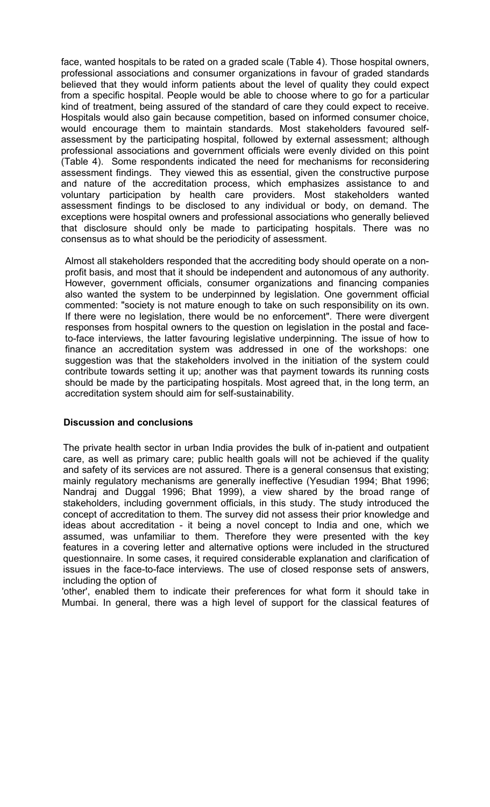face, wanted hospitals to be rated on a graded scale (Table 4). Those hospital owners, professional associations and consumer organizations in favour of graded standards believed that they would inform patients about the level of quality they could expect from a specific hospital. People would be able to choose where to go for a particular kind of treatment, being assured of the standard of care they could expect to receive. Hospitals would also gain because competition, based on informed consumer choice, would encourage them to maintain standards. Most stakeholders favoured selfassessment by the participating hospital, followed by external assessment; although professional associations and government officials were evenly divided on this point (Table 4). Some respondents indicated the need for mechanisms for reconsidering assessment findings. They viewed this as essential, given the constructive purpose and nature of the accreditation process, which emphasizes assistance to and voluntary participation by health care providers. Most stakeholders wanted assessment findings to be disclosed to any individual or body, on demand. The exceptions were hospital owners and professional associations who generally believed that disclosure should only be made to participating hospitals. There was no consensus as to what should be the periodicity of assessment.

Almost all stakeholders responded that the accrediting body should operate on a nonprofit basis, and most that it should be independent and autonomous of any authority. However, government officials, consumer organizations and financing companies also wanted the system to be underpinned by legislation. One government official commented: "society is not mature enough to take on such responsibility on its own. If there were no legislation, there would be no enforcement". There were divergent responses from hospital owners to the question on legislation in the postal and faceto-face interviews, the latter favouring legislative underpinning. The issue of how to finance an accreditation system was addressed in one of the workshops: one suggestion was that the stakeholders involved in the initiation of the system could contribute towards setting it up; another was that payment towards its running costs should be made by the participating hospitals. Most agreed that, in the long term, an accreditation system should aim for self-sustainability.

## **Discussion and conclusions**

The private health sector in urban India provides the bulk of in-patient and outpatient care, as well as primary care; public health goals will not be achieved if the quality and safety of its services are not assured. There is a general consensus that existing; mainly regulatory mechanisms are generally ineffective (Yesudian 1994; Bhat 1996; Nandraj and Duggal 1996; Bhat 1999), a view shared by the broad range of stakeholders, including government officials, in this study. The study introduced the concept of accreditation to them. The survey did not assess their prior knowledge and ideas about accreditation - it being a novel concept to India and one, which we assumed, was unfamiliar to them. Therefore they were presented with the key features in a covering letter and alternative options were included in the structured questionnaire. In some cases, it required considerable explanation and clarification of issues in the face-to-face interviews. The use of closed response sets of answers, including the option of

'other', enabled them to indicate their preferences for what form it should take in Mumbai. In general, there was a high level of support for the classical features of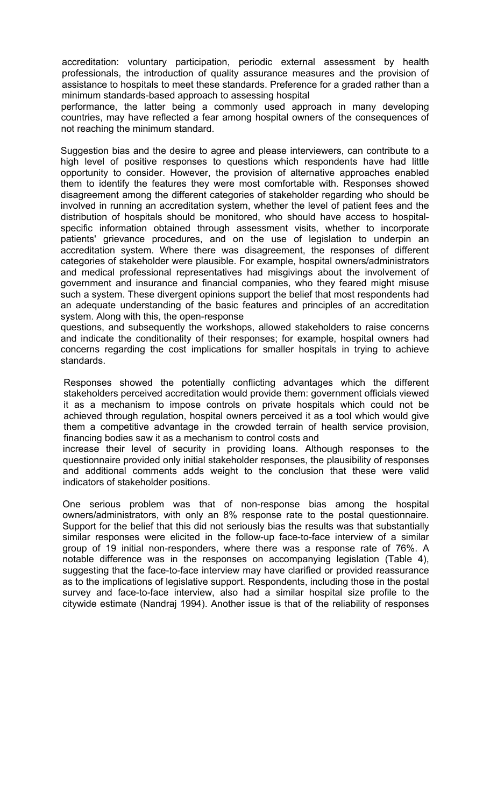accreditation: voluntary participation, periodic external assessment by health professionals, the introduction of quality assurance measures and the provision of assistance to hospitals to meet these standards. Preference for a graded rather than a minimum standards-based approach to assessing hospital

performance, the latter being a commonly used approach in many developing countries, may have reflected a fear among hospital owners of the consequences of not reaching the minimum standard.

Suggestion bias and the desire to agree and please interviewers, can contribute to a high level of positive responses to questions which respondents have had little opportunity to consider. However, the provision of alternative approaches enabled them to identify the features they were most comfortable with. Responses showed disagreement among the different categories of stakeholder regarding who should be involved in running an accreditation system, whether the level of patient fees and the distribution of hospitals should be monitored, who should have access to hospitalspecific information obtained through assessment visits, whether to incorporate patients' grievance procedures, and on the use of legislation to underpin an accreditation system. Where there was disagreement, the responses of different categories of stakeholder were plausible. For example, hospital owners/administrators and medical professional representatives had misgivings about the involvement of government and insurance and financial companies, who they feared might misuse such a system. These divergent opinions support the belief that most respondents had an adequate understanding of the basic features and principles of an accreditation system. Along with this, the open-response

questions, and subsequently the workshops, allowed stakeholders to raise concerns and indicate the conditionality of their responses; for example, hospital owners had concerns regarding the cost implications for smaller hospitals in trying to achieve standards.

Responses showed the potentially conflicting advantages which the different stakeholders perceived accreditation would provide them: government officials viewed it as a mechanism to impose controls on private hospitals which could not be achieved through regulation, hospital owners perceived it as a tool which would give them a competitive advantage in the crowded terrain of health service provision, financing bodies saw it as a mechanism to control costs and

increase their level of security in providing loans. Although responses to the questionnaire provided only initial stakeholder responses, the plausibility of responses and additional comments adds weight to the conclusion that these were valid indicators of stakeholder positions.

One serious problem was that of non-response bias among the hospital owners/administrators, with only an 8% response rate to the postal questionnaire. Support for the belief that this did not seriously bias the results was that substantially similar responses were elicited in the follow-up face-to-face interview of a similar group of 19 initial non-responders, where there was a response rate of 76%. A notable difference was in the responses on accompanying legislation (Table 4), suggesting that the face-to-face interview may have clarified or provided reassurance as to the implications of legislative support. Respondents, including those in the postal survey and face-to-face interview, also had a similar hospital size profile to the citywide estimate (Nandraj 1994). Another issue is that of the reliability of responses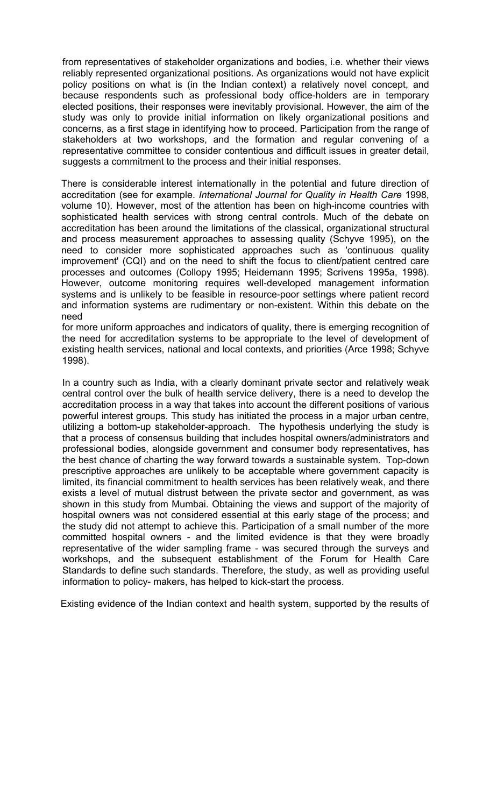from representatives of stakeholder organizations and bodies, i.e. whether their views reliably represented organizational positions. As organizations would not have explicit policy positions on what is (in the Indian context) a relatively novel concept, and because respondents such as professional body office-holders are in temporary elected positions, their responses were inevitably provisional. However, the aim of the study was only to provide initial information on likely organizational positions and concerns, as a first stage in identifying how to proceed. Participation from the range of stakeholders at two workshops, and the formation and regular convening of a representative committee to consider contentious and difficult issues in greater detail, suggests a commitment to the process and their initial responses.

There is considerable interest internationally in the potential and future direction of accreditation (see for example. *International Journal for Quality in Health Care* 1998, volume 10). However, most of the attention has been on high-income countries with sophisticated health services with strong central controls. Much of the debate on accreditation has been around the limitations of the classical, organizational structural and process measurement approaches to assessing quality (Schyve 1995), on the need to consider more sophisticated approaches such as 'continuous quality improvement' (CQI) and on the need to shift the focus to client/patient centred care processes and outcomes (Collopy 1995; Heidemann 1995; Scrivens 1995a, 1998). However, outcome monitoring requires well-developed management information systems and is unlikely to be feasible in resource-poor settings where patient record and information systems are rudimentary or non-existent. Within this debate on the need

for more uniform approaches and indicators of quality, there is emerging recognition of the need for accreditation systems to be appropriate to the level of development of existing health services, national and local contexts, and priorities (Arce 1998; Schyve 1998).

In a country such as India, with a clearly dominant private sector and relatively weak central control over the bulk of health service delivery, there is a need to develop the accreditation process in a way that takes into account the different positions of various powerful interest groups. This study has initiated the process in a major urban centre, utilizing a bottom-up stakeholder-approach. The hypothesis underlying the study is that a process of consensus building that includes hospital owners/administrators and professional bodies, alongside government and consumer body representatives, has the best chance of charting the way forward towards a sustainable system. Top-down prescriptive approaches are unlikely to be acceptable where government capacity is limited, its financial commitment to health services has been relatively weak, and there exists a level of mutual distrust between the private sector and government, as was shown in this study from Mumbai. Obtaining the views and support of the majority of hospital owners was not considered essential at this early stage of the process; and the study did not attempt to achieve this. Participation of a small number of the more committed hospital owners - and the limited evidence is that they were broadly representative of the wider sampling frame - was secured through the surveys and workshops, and the subsequent establishment of the Forum for Health Care Standards to define such standards. Therefore, the study, as well as providing useful information to policy- makers, has helped to kick-start the process.

Existing evidence of the Indian context and health system, supported by the results of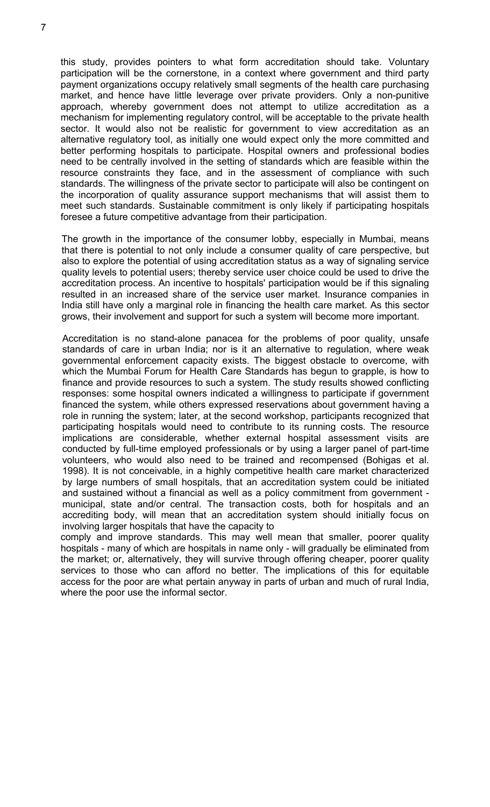this study, provides pointers to what form accreditation should take. Voluntary participation will be the cornerstone, in a context where government and third party payment organizations occupy relatively small segments of the health care purchasing market, and hence have little leverage over private providers. Only a non-punitive approach, whereby government does not attempt to utilize accreditation as a mechanism for implementing regulatory control, will be acceptable to the private health sector. It would also not be realistic for government to view accreditation as an alternative regulatory tool, as initially one would expect only the more committed and better performing hospitals to participate. Hospital owners and professional bodies need to be centrally involved in the setting of standards which are feasible within the resource constraints they face, and in the assessment of compliance with such standards. The willingness of the private sector to participate will also be contingent on the incorporation of quality assurance support mechanisms that will assist them to meet such standards. Sustainable commitment is only likely if participating hospitals foresee a future competitive advantage from their participation.

The growth in the importance of the consumer lobby, especially in Mumbai, means that there is potential to not only include a consumer quality of care perspective, but also to explore the potential of using accreditation status as a way of signaling service quality levels to potential users; thereby service user choice could be used to drive the accreditation process. An incentive to hospitals' participation would be if this signaling resulted in an increased share of the service user market. Insurance companies in India still have only a marginal role in financing the health care market. As this sector grows, their involvement and support for such a system will become more important.

Accreditation is no stand-alone panacea for the problems of poor quality, unsafe standards of care in urban India; nor is it an alternative to regulation, where weak governmental enforcement capacity exists. The biggest obstacle to overcome, with which the Mumbai Forum for Health Care Standards has begun to grapple, is how to finance and provide resources to such a system. The study results showed conflicting responses: some hospital owners indicated a willingness to participate if government financed the system, while others expressed reservations about government having a role in running the system; later, at the second workshop, participants recognized that participating hospitals would need to contribute to its running costs. The resource implications are considerable, whether external hospital assessment visits are conducted by full-time employed professionals or by using a larger panel of part-time volunteers, who would also need to be trained and recompensed (Bohigas et al. 1998). It is not conceivable, in a highly competitive health care market characterized by large numbers of small hospitals, that an accreditation system could be initiated and sustained without a financial as well as a policy commitment from government municipal, state and/or central. The transaction costs, both for hospitals and an accrediting body, will mean that an accreditation system should initially focus on involving larger hospitals that have the capacity to

comply and improve standards. This may well mean that smaller, poorer quality hospitals - many of which are hospitals in name only - will gradually be eliminated from the market; or, alternatively, they will survive through offering cheaper, poorer quality services to those who can afford no better. The implications of this for equitable access for the poor are what pertain anyway in parts of urban and much of rural India, where the poor use the informal sector.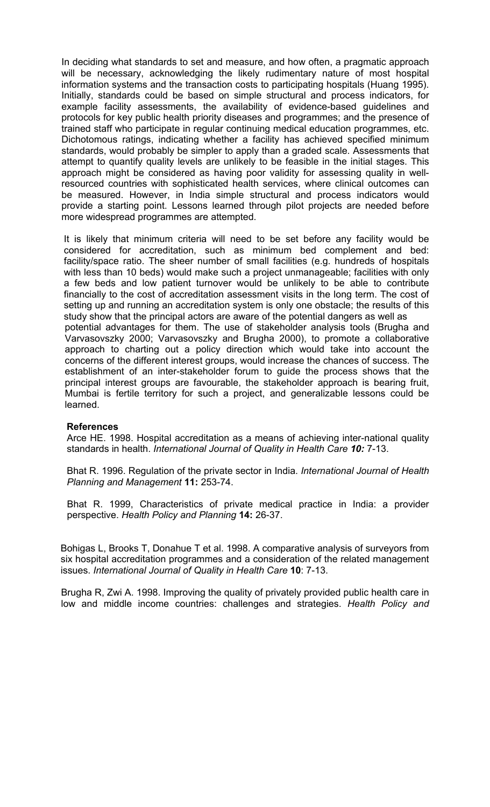In deciding what standards to set and measure, and how often, a pragmatic approach will be necessary, acknowledging the likely rudimentary nature of most hospital information systems and the transaction costs to participating hospitals (Huang 1995). Initially, standards could be based on simple structural and process indicators, for example facility assessments, the availability of evidence-based guidelines and protocols for key public health priority diseases and programmes; and the presence of trained staff who participate in regular continuing medical education programmes, etc. Dichotomous ratings, indicating whether a facility has achieved specified minimum standards, would probably be simpler to apply than a graded scale. Assessments that attempt to quantify quality levels are unlikely to be feasible in the initial stages. This approach might be considered as having poor validity for assessing quality in wellresourced countries with sophisticated health services, where clinical outcomes can be measured. However, in India simple structural and process indicators would provide a starting point. Lessons learned through pilot projects are needed before more widespread programmes are attempted.

It is likely that minimum criteria will need to be set before any facility would be considered for accreditation, such as minimum bed complement and bed: facility/space ratio. The sheer number of small facilities (e.g. hundreds of hospitals with less than 10 beds) would make such a project unmanageable; facilities with only a few beds and low patient turnover would be unlikely to be able to contribute financially to the cost of accreditation assessment visits in the long term. The cost of setting up and running an accreditation system is only one obstacle; the results of this study show that the principal actors are aware of the potential dangers as well as potential advantages for them. The use of stakeholder analysis tools (Brugha and Varvasovszky 2000; Varvasovszky and Brugha 2000), to promote a collaborative approach to charting out a policy direction which would take into account the concerns of the different interest groups, would increase the chances of success. The establishment of an inter-stakeholder forum to guide the process shows that the principal interest groups are favourable, the stakeholder approach is bearing fruit, Mumbai is fertile territory for such a project, and generalizable lessons could be learned.

#### **References**

Arce HE. 1998. Hospital accreditation as a means of achieving inter-national quality standards in health. *International Journal of Quality in Health Care 10:* 7-13.

Bhat R. 1996. Regulation of the private sector in India. *International Journal of Health Planning and Management* **11:** 253-74.

Bhat R. 1999, Characteristics of private medical practice in India: a provider perspective. *Health Policy and Planning* **14:** 26-37.

Bohigas L, Brooks T, Donahue T et al. 1998. A comparative analysis of surveyors from six hospital accreditation programmes and a consideration of the related management issues. *International Journal of Quality in Health Care* **10**: 7-13.

Brugha R, Zwi A. 1998. Improving the quality of privately provided public health care in low and middle income countries: challenges and strategies. *Health Policy and*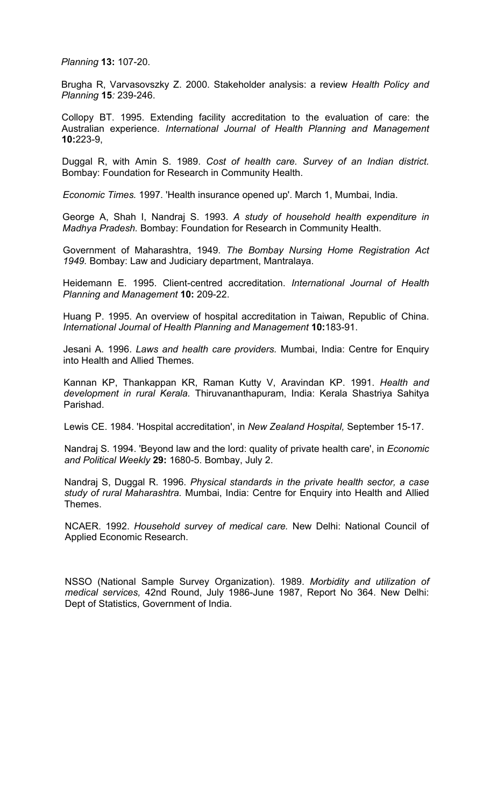*Planning* **13:** 107-20.

Brugha R, Varvasovszky Z. 2000. Stakeholder analysis: a review *Health Policy and Planning* **15***:* 239-246.

Collopy BT. 1995. Extending facility accreditation to the evaluation of care: the Australian experience. *International Journal of Health Planning and Management* **10:**223-9,

Duggal R, with Amin S. 1989. *Cost of health care. Survey of an Indian district.* Bombay: Foundation for Research in Community Health.

*Economic Times.* 1997. 'Health insurance opened up'. March 1, Mumbai, India.

George A, Shah I, Nandraj S. 1993. *A study of household health expenditure in Madhya Pradesh.* Bombay: Foundation for Research in Community Health.

Government of Maharashtra, 1949. *The Bombay Nursing Home Registration Act 1949.* Bombay: Law and Judiciary department, Mantralaya.

Heidemann E. 1995. Client-centred accreditation. *International Journal of Health Planning and Management* **10:** 209-22.

Huang P. 1995. An overview of hospital accreditation in Taiwan, Republic of China. *International Journal of Health Planning and Management* **10:**183-91.

Jesani A. 1996. *Laws and health care providers.* Mumbai, India: Centre for Enquiry into Health and Allied Themes.

Kannan KP, Thankappan KR, Raman Kutty V, Aravindan KP. 1991. *Health and development in rural Kerala.* Thiruvananthapuram, India: Kerala Shastriya Sahitya Parishad.

Lewis CE. 1984. 'Hospital accreditation', in *New Zealand Hospital,* September 15-17.

Nandraj S. 1994. 'Beyond law and the lord: quality of private health care', in *Economic and Political Weekly* **29:** 1680-5. Bombay, July 2.

Nandraj S, Duggal R. 1996. *Physical standards in the private health sector, a case study of rural Maharashtra.* Mumbai, India: Centre for Enquiry into Health and Allied Themes.

NCAER. 1992. *Household survey of medical care.* New Delhi: National Council of Applied Economic Research.

NSSO (National Sample Survey Organization). 1989. *Morbidity and utilization of medical services,* 42nd Round, July 1986-June 1987, Report No 364. New Delhi: Dept of Statistics, Government of India.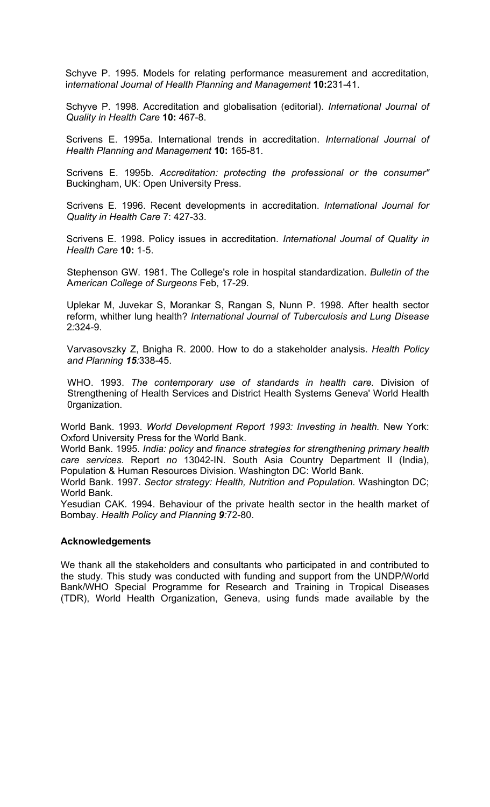Schyve P. 1995. Models for relating performance measurement and accreditation, i*nternational Journal of Health Planning and Management* **10:**231-41.

Schyve P. 1998. Accreditation and globalisation (editorial). *International Journal of Quality in Health Care* **10:** 467-8.

Scrivens E. 1995a. International trends in accreditation. *International Journal of Health Planning and Management* **10:** 165-81.

Scrivens E. 1995b. *Accreditation: protecting the professional or the consumer"* Buckingham, UK: Open University Press.

Scrivens E. 1996. Recent developments in accreditation. *International Journal for Quality in Health Care* 7: 427-33.

Scrivens E. 1998. Policy issues in accreditation. *International Journal of Quality in Health Care* **10:** 1-5.

Stephenson GW. 1981. The College's role in hospital standardization. *Bulletin of the* A*merican College of Surgeons* Feb, 17-29.

Uplekar M, Juvekar S, Morankar S, Rangan S, Nunn P. 1998. After health sector reform, whither lung health? *International Journal of Tuberculosis and Lung Disease* 2*:*324-9.

Varvasovszky Z, Bnigha R. 2000. How to do a stakeholder analysis. *Health Policy and Planning 15:*338-45.

WHO. 1993. *The contemporary use of standards in health care.* Division of Strengthening of Health Services and District Health Systems Geneva' World Health 0rganization.

World Bank. 1993. *World Development Report 1993: Investing in health.* New York: Oxford University Press for the World Bank.

World Bank. 1995. *India: policy* an*d finance strategies for strengthening primary health care services.* Report *no* 13042-IN. South Asia Country Department II (India), Population & Human Resources Division. Washington DC: World Bank.

World Bank. 1997. *Sector strategy: Health, Nutrition and Population.* Washington DC; World Bank.

Yesudian CAK. 1994. Behaviour of the private health sector in the health market of Bombay. *Health Policy and Planning 9:*72-80.

## **Acknowledgements**

We thank all the stakeholders and consultants who participated in and contributed to the study. This study was conducted with funding and support from the UNDP/World Bank/WHO Special Programme for Research and Training in Tropical Diseases (TDR), World Health Organization, Geneva, using funds made available by the